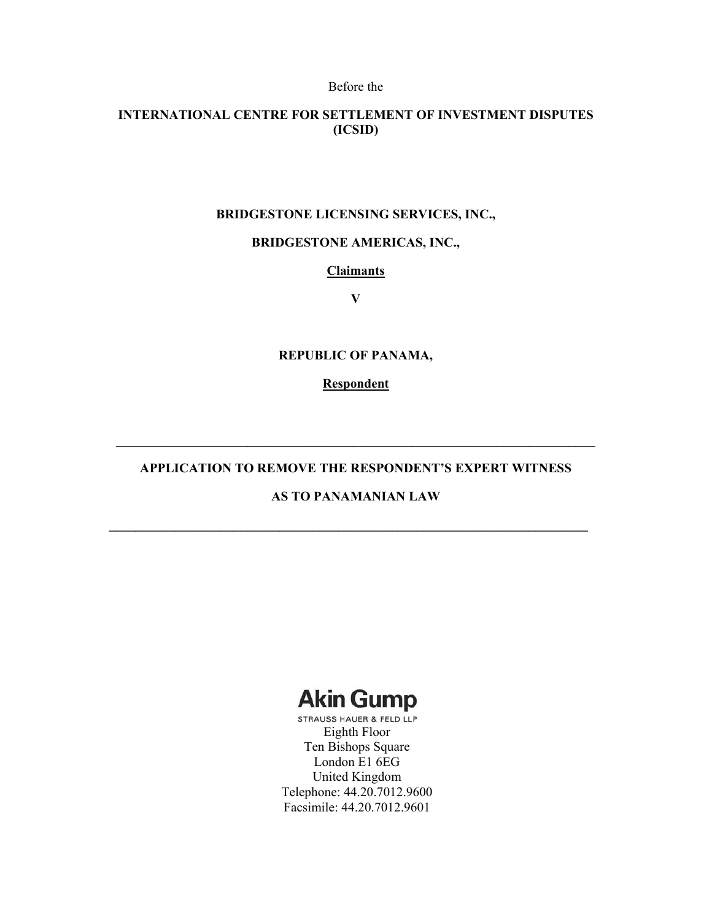### Before the

### **INTERNATIONAL CENTRE FOR SETTLEMENT OF INVESTMENT DISPUTES (ICSID)**

### **BRIDGESTONE LICENSING SERVICES, INC.,**

### **BRIDGESTONE AMERICAS, INC.,**

### **Claimants**

**V** 

#### **REPUBLIC OF PANAMA,**

**Respondent** 

### **APPLICATION TO REMOVE THE RESPONDENT'S EXPERT WITNESS**

**\_\_\_\_\_\_\_\_\_\_\_\_\_\_\_\_\_\_\_\_\_\_\_\_\_\_\_\_\_\_\_\_\_\_\_\_\_\_\_\_\_\_\_\_\_\_\_\_\_\_\_\_\_\_\_\_\_\_\_\_\_\_\_\_\_\_\_\_\_\_\_\_\_** 

# **AS TO PANAMANIAN LAW**

**\_\_\_\_\_\_\_\_\_\_\_\_\_\_\_\_\_\_\_\_\_\_\_\_\_\_\_\_\_\_\_\_\_\_\_\_\_\_\_\_\_\_\_\_\_\_\_\_\_\_\_\_\_\_\_\_\_\_\_\_\_\_\_\_\_\_\_\_\_\_\_\_\_** 

# **Akin Gump**

STRAUSS HAUER & FELD LLP Eighth Floor Ten Bishops Square London E1 6EG United Kingdom Telephone: 44.20.7012.9600 Facsimile: 44.20.7012.9601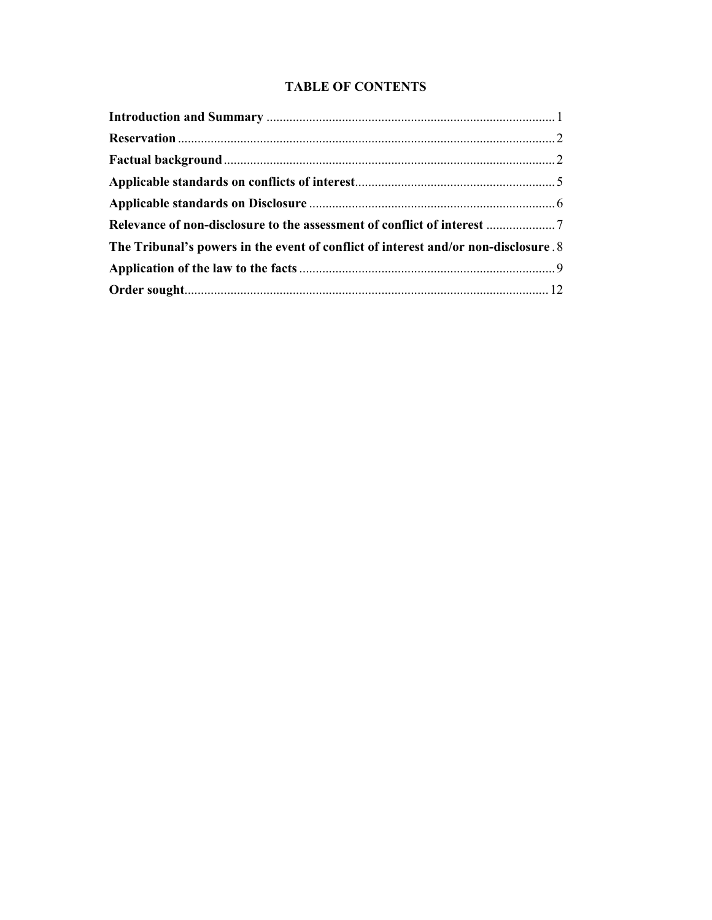# **TABLE OF CONTENTS**

| The Tribunal's powers in the event of conflict of interest and/or non-disclosure. 8 |  |
|-------------------------------------------------------------------------------------|--|
|                                                                                     |  |
|                                                                                     |  |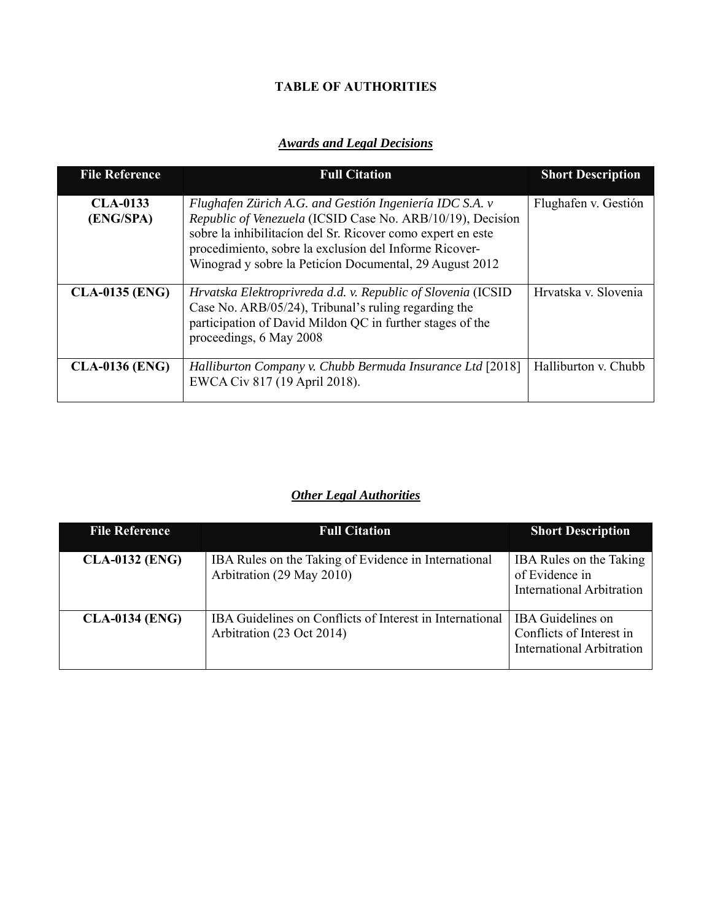# **TABLE OF AUTHORITIES**

# *Awards and Legal Decisions*

| <b>File Reference</b>        | <b>Full Citation</b>                                                                                                                                                                                                                                                                                      | <b>Short Description</b> |
|------------------------------|-----------------------------------------------------------------------------------------------------------------------------------------------------------------------------------------------------------------------------------------------------------------------------------------------------------|--------------------------|
| <b>CLA-0133</b><br>(ENG/SPA) | Flughafen Zürich A.G. and Gestión Ingeniería IDC S.A. v<br>Republic of Venezuela (ICSID Case No. ARB/10/19), Decision<br>sobre la inhibilitacion del Sr. Ricover como expert en este<br>procedimiento, sobre la exclusion del Informe Ricover-<br>Winograd y sobre la Peticion Documental, 29 August 2012 | Flughafen v. Gestión     |
| <b>CLA-0135 (ENG)</b>        | Hrvatska Elektroprivreda d.d. v. Republic of Slovenia (ICSID<br>Case No. ARB/05/24), Tribunal's ruling regarding the<br>participation of David Mildon QC in further stages of the<br>proceedings, 6 May 2008                                                                                              | Hrvatska v. Slovenia     |
| <b>CLA-0136 (ENG)</b>        | Halliburton Company v. Chubb Bermuda Insurance Ltd [2018]<br>EWCA Civ 817 (19 April 2018).                                                                                                                                                                                                                | Halliburton v. Chubb     |

# *Other Legal Authorities*

| <b>File Reference</b> | <b>Full Citation</b>                                                                  | <b>Short Description</b>                                                                 |
|-----------------------|---------------------------------------------------------------------------------------|------------------------------------------------------------------------------------------|
| <b>CLA-0132 (ENG)</b> | IBA Rules on the Taking of Evidence in International<br>Arbitration (29 May 2010)     | IBA Rules on the Taking<br>of Evidence in<br><b>International Arbitration</b>            |
| <b>CLA-0134 (ENG)</b> | IBA Guidelines on Conflicts of Interest in International<br>Arbitration (23 Oct 2014) | <b>IBA</b> Guidelines on<br>Conflicts of Interest in<br><b>International Arbitration</b> |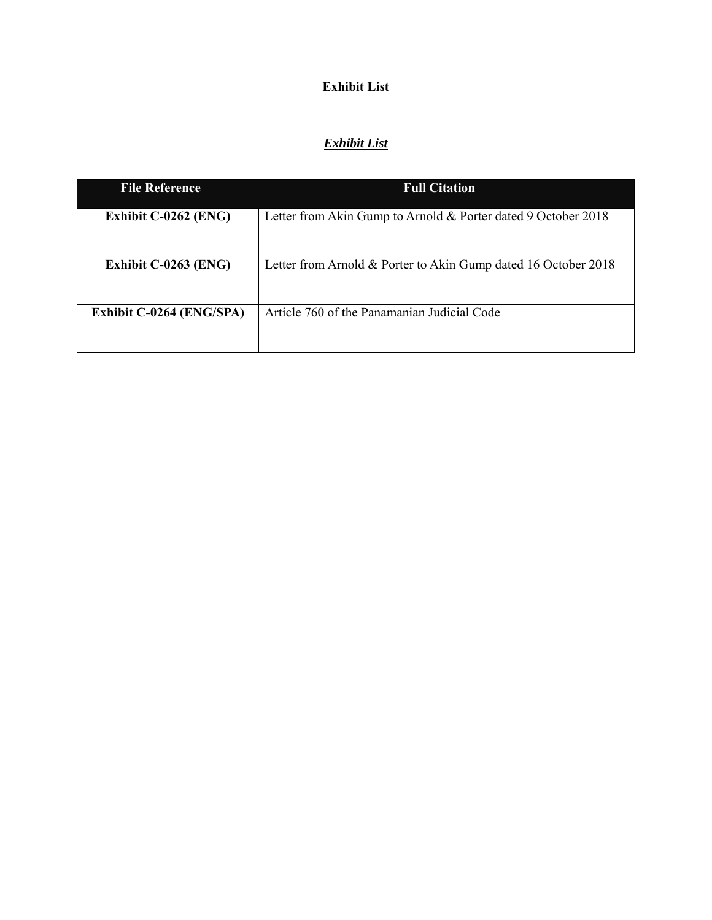# **Exhibit List**

# *Exhibit List*

| <b>File Reference</b>    | <b>Full Citation</b>                                           |
|--------------------------|----------------------------------------------------------------|
| Exhibit $C-0262$ (ENG)   | Letter from Akin Gump to Arnold & Porter dated 9 October 2018  |
| Exhibit $C-0263$ (ENG)   | Letter from Arnold & Porter to Akin Gump dated 16 October 2018 |
| Exhibit C-0264 (ENG/SPA) | Article 760 of the Panamanian Judicial Code                    |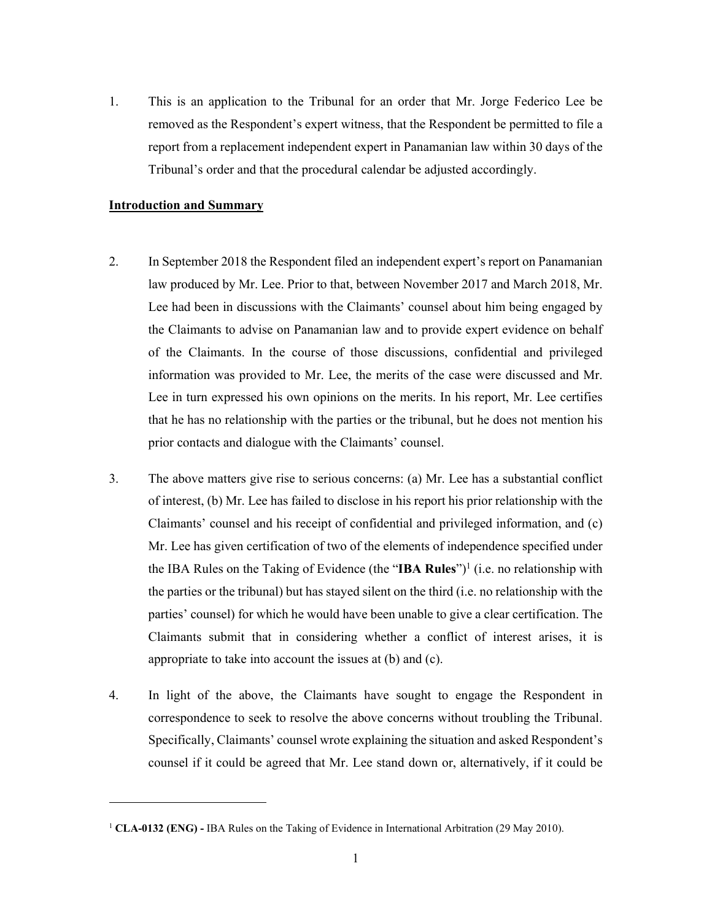1. This is an application to the Tribunal for an order that Mr. Jorge Federico Lee be removed as the Respondent's expert witness, that the Respondent be permitted to file a report from a replacement independent expert in Panamanian law within 30 days of the Tribunal's order and that the procedural calendar be adjusted accordingly.

#### **Introduction and Summary**

- 2. In September 2018 the Respondent filed an independent expert's report on Panamanian law produced by Mr. Lee. Prior to that, between November 2017 and March 2018, Mr. Lee had been in discussions with the Claimants' counsel about him being engaged by the Claimants to advise on Panamanian law and to provide expert evidence on behalf of the Claimants. In the course of those discussions, confidential and privileged information was provided to Mr. Lee, the merits of the case were discussed and Mr. Lee in turn expressed his own opinions on the merits. In his report, Mr. Lee certifies that he has no relationship with the parties or the tribunal, but he does not mention his prior contacts and dialogue with the Claimants' counsel.
- 3. The above matters give rise to serious concerns: (a) Mr. Lee has a substantial conflict of interest, (b) Mr. Lee has failed to disclose in his report his prior relationship with the Claimants' counsel and his receipt of confidential and privileged information, and (c) Mr. Lee has given certification of two of the elements of independence specified under the IBA Rules on the Taking of Evidence (the "IBA Rules")<sup>1</sup> (i.e. no relationship with the parties or the tribunal) but has stayed silent on the third (i.e. no relationship with the parties' counsel) for which he would have been unable to give a clear certification. The Claimants submit that in considering whether a conflict of interest arises, it is appropriate to take into account the issues at (b) and (c).
- 4. In light of the above, the Claimants have sought to engage the Respondent in correspondence to seek to resolve the above concerns without troubling the Tribunal. Specifically, Claimants' counsel wrote explaining the situation and asked Respondent's counsel if it could be agreed that Mr. Lee stand down or, alternatively, if it could be

<sup>1</sup> **CLA-0132 (ENG) -** IBA Rules on the Taking of Evidence in International Arbitration (29 May 2010).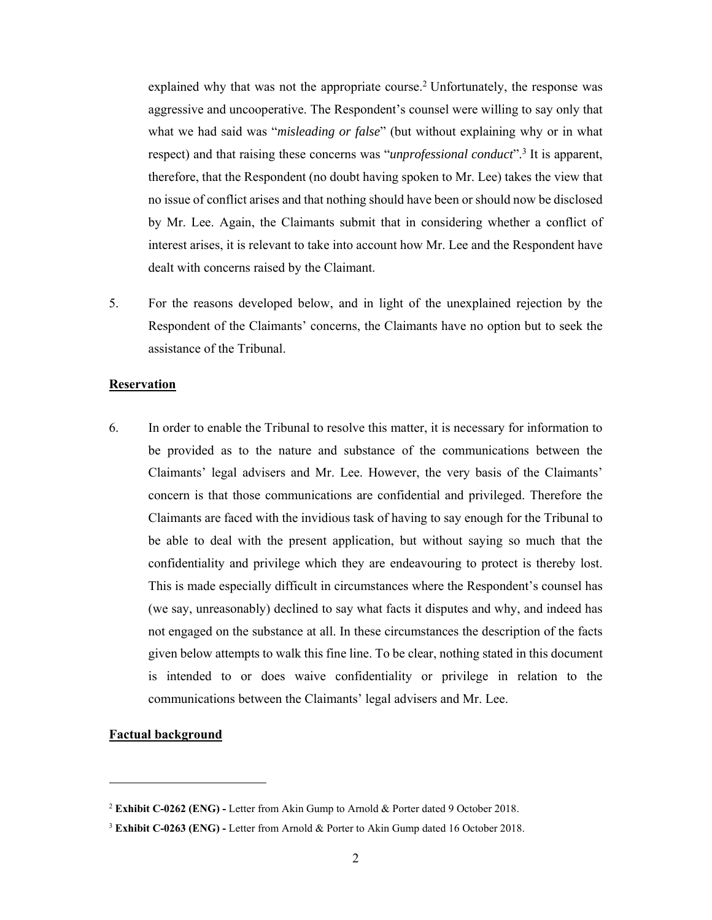explained why that was not the appropriate course.2 Unfortunately, the response was aggressive and uncooperative. The Respondent's counsel were willing to say only that what we had said was "*misleading or false*" (but without explaining why or in what respect) and that raising these concerns was "*unprofessional conduct*".3 It is apparent, therefore, that the Respondent (no doubt having spoken to Mr. Lee) takes the view that no issue of conflict arises and that nothing should have been or should now be disclosed by Mr. Lee. Again, the Claimants submit that in considering whether a conflict of interest arises, it is relevant to take into account how Mr. Lee and the Respondent have dealt with concerns raised by the Claimant.

5. For the reasons developed below, and in light of the unexplained rejection by the Respondent of the Claimants' concerns, the Claimants have no option but to seek the assistance of the Tribunal.

#### **Reservation**

6. In order to enable the Tribunal to resolve this matter, it is necessary for information to be provided as to the nature and substance of the communications between the Claimants' legal advisers and Mr. Lee. However, the very basis of the Claimants' concern is that those communications are confidential and privileged. Therefore the Claimants are faced with the invidious task of having to say enough for the Tribunal to be able to deal with the present application, but without saying so much that the confidentiality and privilege which they are endeavouring to protect is thereby lost. This is made especially difficult in circumstances where the Respondent's counsel has (we say, unreasonably) declined to say what facts it disputes and why, and indeed has not engaged on the substance at all. In these circumstances the description of the facts given below attempts to walk this fine line. To be clear, nothing stated in this document is intended to or does waive confidentiality or privilege in relation to the communications between the Claimants' legal advisers and Mr. Lee.

### **Factual background**

<sup>2</sup> **Exhibit C-0262 (ENG) -** Letter from Akin Gump to Arnold & Porter dated 9 October 2018.

<sup>3</sup> **Exhibit C-0263 (ENG) -** Letter from Arnold & Porter to Akin Gump dated 16 October 2018.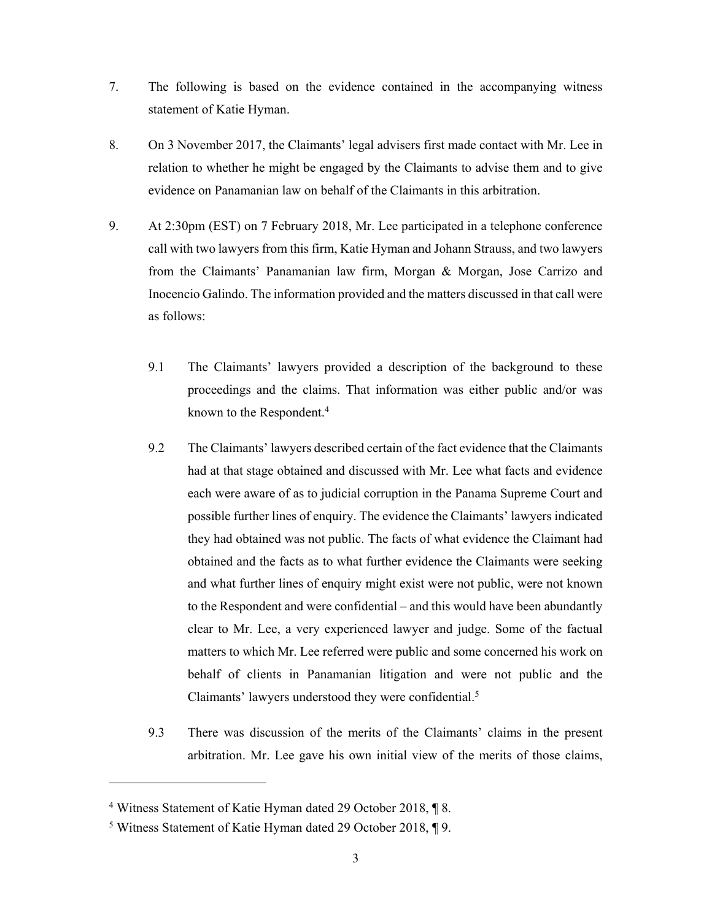- 7. The following is based on the evidence contained in the accompanying witness statement of Katie Hyman.
- 8. On 3 November 2017, the Claimants' legal advisers first made contact with Mr. Lee in relation to whether he might be engaged by the Claimants to advise them and to give evidence on Panamanian law on behalf of the Claimants in this arbitration.
- 9. At 2:30pm (EST) on 7 February 2018, Mr. Lee participated in a telephone conference call with two lawyers from this firm, Katie Hyman and Johann Strauss, and two lawyers from the Claimants' Panamanian law firm, Morgan & Morgan, Jose Carrizo and Inocencio Galindo. The information provided and the matters discussed in that call were as follows:
	- 9.1 The Claimants' lawyers provided a description of the background to these proceedings and the claims. That information was either public and/or was known to the Respondent.4
	- 9.2 The Claimants' lawyers described certain of the fact evidence that the Claimants had at that stage obtained and discussed with Mr. Lee what facts and evidence each were aware of as to judicial corruption in the Panama Supreme Court and possible further lines of enquiry. The evidence the Claimants' lawyers indicated they had obtained was not public. The facts of what evidence the Claimant had obtained and the facts as to what further evidence the Claimants were seeking and what further lines of enquiry might exist were not public, were not known to the Respondent and were confidential – and this would have been abundantly clear to Mr. Lee, a very experienced lawyer and judge. Some of the factual matters to which Mr. Lee referred were public and some concerned his work on behalf of clients in Panamanian litigation and were not public and the Claimants' lawyers understood they were confidential.5
	- 9.3 There was discussion of the merits of the Claimants' claims in the present arbitration. Mr. Lee gave his own initial view of the merits of those claims,

<sup>4</sup> Witness Statement of Katie Hyman dated 29 October 2018, ¶ 8.

<sup>5</sup> Witness Statement of Katie Hyman dated 29 October 2018, ¶ 9.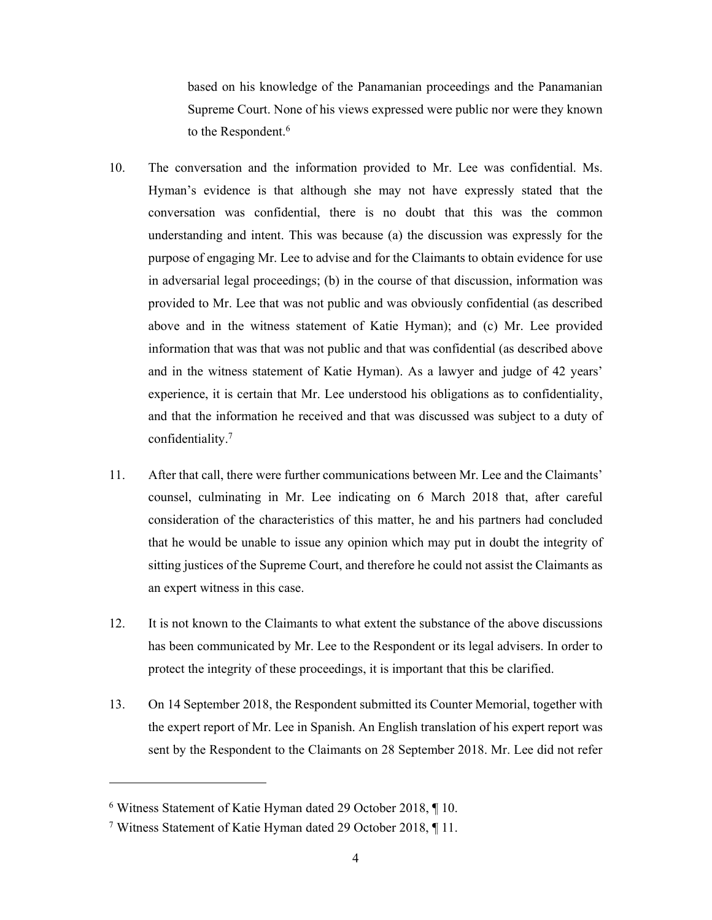based on his knowledge of the Panamanian proceedings and the Panamanian Supreme Court. None of his views expressed were public nor were they known to the Respondent.<sup>6</sup>

- 10. The conversation and the information provided to Mr. Lee was confidential. Ms. Hyman's evidence is that although she may not have expressly stated that the conversation was confidential, there is no doubt that this was the common understanding and intent. This was because (a) the discussion was expressly for the purpose of engaging Mr. Lee to advise and for the Claimants to obtain evidence for use in adversarial legal proceedings; (b) in the course of that discussion, information was provided to Mr. Lee that was not public and was obviously confidential (as described above and in the witness statement of Katie Hyman); and (c) Mr. Lee provided information that was that was not public and that was confidential (as described above and in the witness statement of Katie Hyman). As a lawyer and judge of 42 years' experience, it is certain that Mr. Lee understood his obligations as to confidentiality, and that the information he received and that was discussed was subject to a duty of confidentiality.7
- 11. After that call, there were further communications between Mr. Lee and the Claimants' counsel, culminating in Mr. Lee indicating on 6 March 2018 that, after careful consideration of the characteristics of this matter, he and his partners had concluded that he would be unable to issue any opinion which may put in doubt the integrity of sitting justices of the Supreme Court, and therefore he could not assist the Claimants as an expert witness in this case.
- 12. It is not known to the Claimants to what extent the substance of the above discussions has been communicated by Mr. Lee to the Respondent or its legal advisers. In order to protect the integrity of these proceedings, it is important that this be clarified.
- 13. On 14 September 2018, the Respondent submitted its Counter Memorial, together with the expert report of Mr. Lee in Spanish. An English translation of his expert report was sent by the Respondent to the Claimants on 28 September 2018. Mr. Lee did not refer

<sup>6</sup> Witness Statement of Katie Hyman dated 29 October 2018, ¶ 10.

<sup>7</sup> Witness Statement of Katie Hyman dated 29 October 2018, ¶ 11.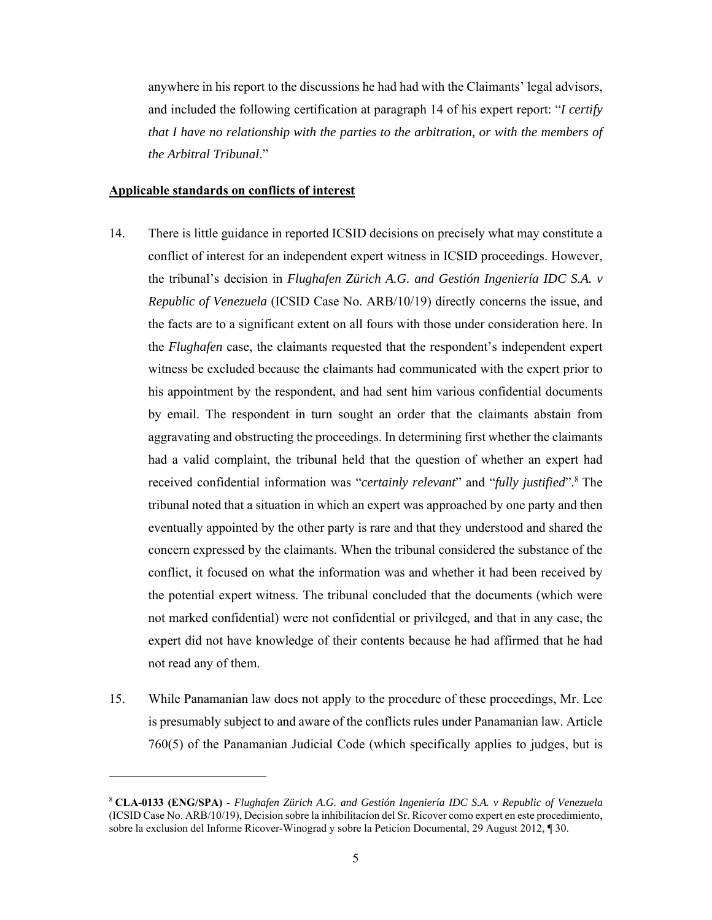anywhere in his report to the discussions he had had with the Claimants' legal advisors, and included the following certification at paragraph 14 of his expert report: "*I certify that I have no relationship with the parties to the arbitration, or with the members of the Arbitral Tribunal*."

#### **Applicable standards on conflicts of interest**

- 14. There is little guidance in reported ICSID decisions on precisely what may constitute a conflict of interest for an independent expert witness in ICSID proceedings. However, the tribunal's decision in *Flughafen Zürich A.G. and Gestión Ingeniería IDC S.A. v Republic of Venezuela* (ICSID Case No. ARB/10/19) directly concerns the issue, and the facts are to a significant extent on all fours with those under consideration here. In the *Flughafen* case, the claimants requested that the respondent's independent expert witness be excluded because the claimants had communicated with the expert prior to his appointment by the respondent, and had sent him various confidential documents by email. The respondent in turn sought an order that the claimants abstain from aggravating and obstructing the proceedings. In determining first whether the claimants had a valid complaint, the tribunal held that the question of whether an expert had received confidential information was "*certainly relevant*" and "*fully justified*".8 The tribunal noted that a situation in which an expert was approached by one party and then eventually appointed by the other party is rare and that they understood and shared the concern expressed by the claimants. When the tribunal considered the substance of the conflict, it focused on what the information was and whether it had been received by the potential expert witness. The tribunal concluded that the documents (which were not marked confidential) were not confidential or privileged, and that in any case, the expert did not have knowledge of their contents because he had affirmed that he had not read any of them.
- 15. While Panamanian law does not apply to the procedure of these proceedings, Mr. Lee is presumably subject to and aware of the conflicts rules under Panamanian law. Article 760(5) of the Panamanian Judicial Code (which specifically applies to judges, but is

<sup>8</sup> **CLA-0133 (ENG/SPA) -** *Flughafen Zürich A.G. and Gestión Ingeniería IDC S.A. v Republic of Venezuela* (ICSID Case No. ARB/10/19), Decisíon sobre la inhibilitacíon del Sr. Ricover como expert en este procedimiento, sobre la exclusíon del Informe Ricover-Winograd y sobre la Peticíon Documental, 29 August 2012, ¶ 30.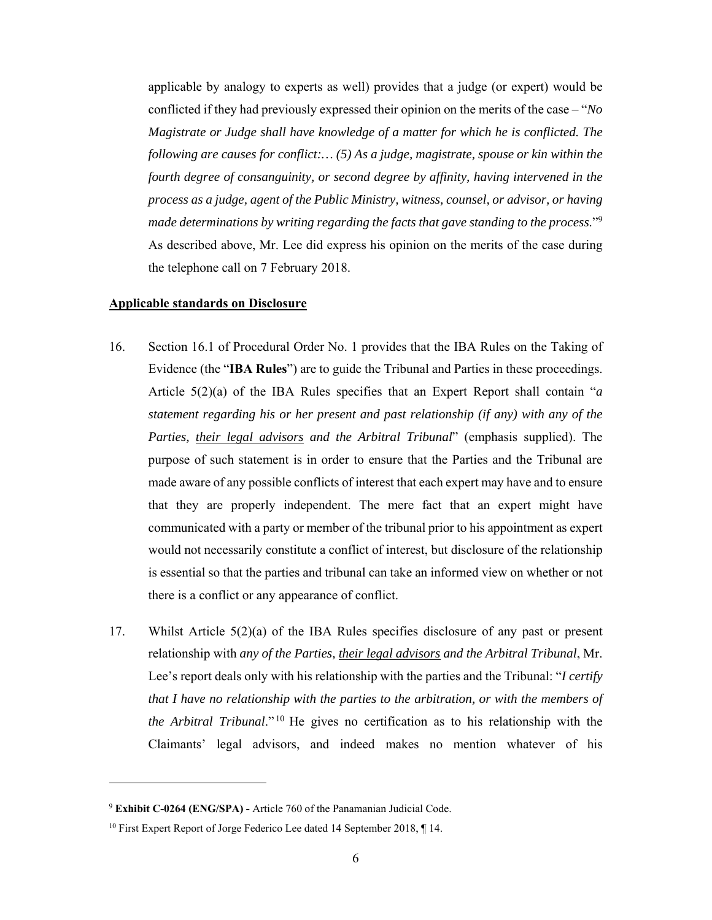applicable by analogy to experts as well) provides that a judge (or expert) would be conflicted if they had previously expressed their opinion on the merits of the case – "*No Magistrate or Judge shall have knowledge of a matter for which he is conflicted. The following are causes for conflict:… (5) As a judge, magistrate, spouse or kin within the fourth degree of consanguinity, or second degree by affinity, having intervened in the process as a judge, agent of the Public Ministry, witness, counsel, or advisor, or having made determinations by writing regarding the facts that gave standing to the process*."9 As described above, Mr. Lee did express his opinion on the merits of the case during the telephone call on 7 February 2018.

#### **Applicable standards on Disclosure**

- 16. Section 16.1 of Procedural Order No. 1 provides that the IBA Rules on the Taking of Evidence (the "**IBA Rules**") are to guide the Tribunal and Parties in these proceedings. Article 5(2)(a) of the IBA Rules specifies that an Expert Report shall contain "*a statement regarding his or her present and past relationship (if any) with any of the Parties, their legal advisors and the Arbitral Tribunal*" (emphasis supplied). The purpose of such statement is in order to ensure that the Parties and the Tribunal are made aware of any possible conflicts of interest that each expert may have and to ensure that they are properly independent. The mere fact that an expert might have communicated with a party or member of the tribunal prior to his appointment as expert would not necessarily constitute a conflict of interest, but disclosure of the relationship is essential so that the parties and tribunal can take an informed view on whether or not there is a conflict or any appearance of conflict.
- 17. Whilst Article 5(2)(a) of the IBA Rules specifies disclosure of any past or present relationship with *any of the Parties, their legal advisors and the Arbitral Tribunal*, Mr. Lee's report deals only with his relationship with the parties and the Tribunal: "*I certify that I have no relationship with the parties to the arbitration, or with the members of the Arbitral Tribunal*." 10 He gives no certification as to his relationship with the Claimants' legal advisors, and indeed makes no mention whatever of his

<sup>9</sup> **Exhibit C-0264 (ENG/SPA) -** Article 760 of the Panamanian Judicial Code.

<sup>&</sup>lt;sup>10</sup> First Expert Report of Jorge Federico Lee dated 14 September 2018, 14.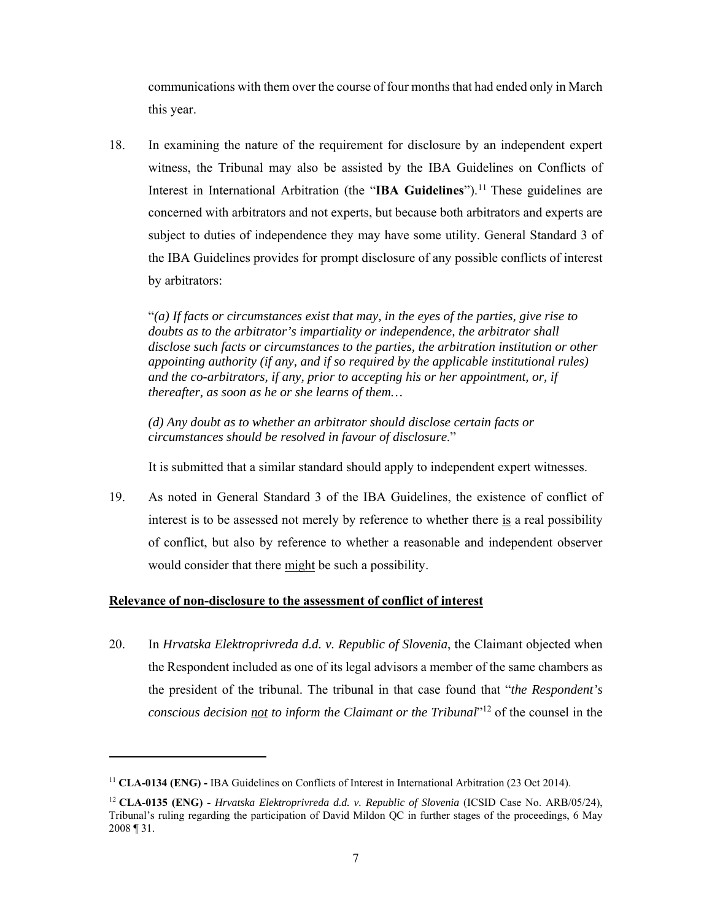communications with them over the course of four months that had ended only in March this year.

18. In examining the nature of the requirement for disclosure by an independent expert witness, the Tribunal may also be assisted by the IBA Guidelines on Conflicts of Interest in International Arbitration (the "IBA Guidelines").<sup>11</sup> These guidelines are concerned with arbitrators and not experts, but because both arbitrators and experts are subject to duties of independence they may have some utility. General Standard 3 of the IBA Guidelines provides for prompt disclosure of any possible conflicts of interest by arbitrators:

"*(a) If facts or circumstances exist that may, in the eyes of the parties, give rise to doubts as to the arbitrator's impartiality or independence, the arbitrator shall disclose such facts or circumstances to the parties, the arbitration institution or other appointing authority (if any, and if so required by the applicable institutional rules) and the co-arbitrators, if any, prior to accepting his or her appointment, or, if thereafter, as soon as he or she learns of them…* 

*(d) Any doubt as to whether an arbitrator should disclose certain facts or circumstances should be resolved in favour of disclosure*."

It is submitted that a similar standard should apply to independent expert witnesses.

19. As noted in General Standard 3 of the IBA Guidelines, the existence of conflict of interest is to be assessed not merely by reference to whether there is a real possibility of conflict, but also by reference to whether a reasonable and independent observer would consider that there might be such a possibility.

### **Relevance of non-disclosure to the assessment of conflict of interest**

-

20. In *Hrvatska Elektroprivreda d.d. v. Republic of Slovenia*, the Claimant objected when the Respondent included as one of its legal advisors a member of the same chambers as the president of the tribunal. The tribunal in that case found that "*the Respondent's conscious decision not to inform the Claimant or the Tribunal*"12 of the counsel in the

<sup>&</sup>lt;sup>11</sup> **CLA-0134 (ENG) - IBA Guidelines on Conflicts of Interest in International Arbitration (23 Oct 2014).** 

<sup>12</sup> **CLA-0135 (ENG) -** *Hrvatska Elektroprivreda d.d. v. Republic of Slovenia* (ICSID Case No. ARB/05/24), Tribunal's ruling regarding the participation of David Mildon QC in further stages of the proceedings, 6 May 2008 ¶ 31.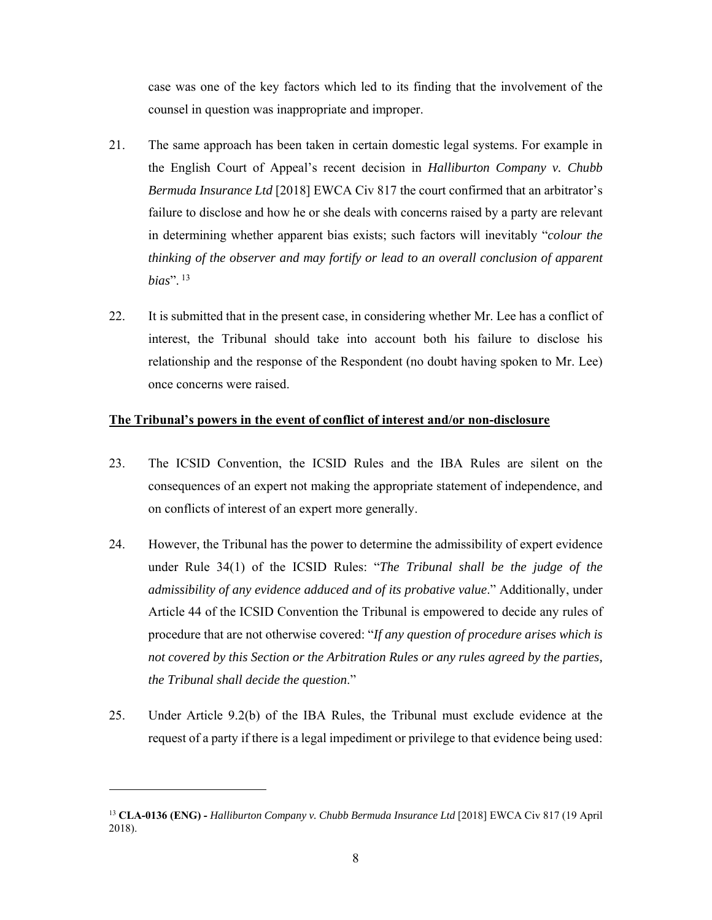case was one of the key factors which led to its finding that the involvement of the counsel in question was inappropriate and improper.

- 21. The same approach has been taken in certain domestic legal systems. For example in the English Court of Appeal's recent decision in *Halliburton Company v. Chubb Bermuda Insurance Ltd* [2018] EWCA Civ 817 the court confirmed that an arbitrator's failure to disclose and how he or she deals with concerns raised by a party are relevant in determining whether apparent bias exists; such factors will inevitably "*colour the thinking of the observer and may fortify or lead to an overall conclusion of apparent bias*". 13
- 22. It is submitted that in the present case, in considering whether Mr. Lee has a conflict of interest, the Tribunal should take into account both his failure to disclose his relationship and the response of the Respondent (no doubt having spoken to Mr. Lee) once concerns were raised.

#### **The Tribunal's powers in the event of conflict of interest and/or non-disclosure**

- 23. The ICSID Convention, the ICSID Rules and the IBA Rules are silent on the consequences of an expert not making the appropriate statement of independence, and on conflicts of interest of an expert more generally.
- 24. However, the Tribunal has the power to determine the admissibility of expert evidence under Rule 34(1) of the ICSID Rules: "*The Tribunal shall be the judge of the admissibility of any evidence adduced and of its probative value*." Additionally, under Article 44 of the ICSID Convention the Tribunal is empowered to decide any rules of procedure that are not otherwise covered: "*If any question of procedure arises which is not covered by this Section or the Arbitration Rules or any rules agreed by the parties, the Tribunal shall decide the question*."
- 25. Under Article 9.2(b) of the IBA Rules, the Tribunal must exclude evidence at the request of a party if there is a legal impediment or privilege to that evidence being used:

<sup>13</sup> **CLA-0136 (ENG) -** *Halliburton Company v. Chubb Bermuda Insurance Ltd* [2018] EWCA Civ 817 (19 April 2018).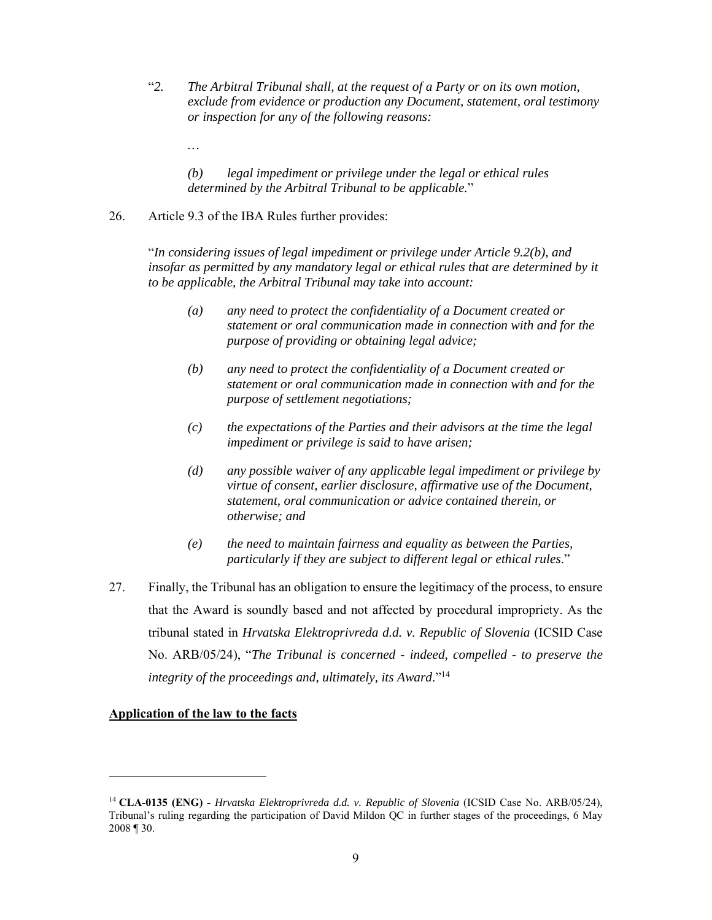- "*2. The Arbitral Tribunal shall, at the request of a Party or on its own motion, exclude from evidence or production any Document, statement, oral testimony or inspection for any of the following reasons:* 
	- *…*

*(b) legal impediment or privilege under the legal or ethical rules determined by the Arbitral Tribunal to be applicable.*"

26. Article 9.3 of the IBA Rules further provides:

"*In considering issues of legal impediment or privilege under Article 9.2(b), and*  insofar as permitted by any mandatory legal or ethical rules that are determined by it *to be applicable, the Arbitral Tribunal may take into account:* 

- *(a) any need to protect the confidentiality of a Document created or statement or oral communication made in connection with and for the purpose of providing or obtaining legal advice;*
- *(b) any need to protect the confidentiality of a Document created or statement or oral communication made in connection with and for the purpose of settlement negotiations;*
- *(c) the expectations of the Parties and their advisors at the time the legal impediment or privilege is said to have arisen;*
- *(d) any possible waiver of any applicable legal impediment or privilege by virtue of consent, earlier disclosure, affirmative use of the Document, statement, oral communication or advice contained therein, or otherwise; and*
- *(e) the need to maintain fairness and equality as between the Parties, particularly if they are subject to different legal or ethical rules*."
- 27. Finally, the Tribunal has an obligation to ensure the legitimacy of the process, to ensure that the Award is soundly based and not affected by procedural impropriety. As the tribunal stated in *Hrvatska Elektroprivreda d.d. v. Republic of Slovenia* (ICSID Case No. ARB/05/24), "*The Tribunal is concerned - indeed, compelled - to preserve the integrity of the proceedings and, ultimately, its Award*."14

### **Application of the law to the facts**

<sup>14</sup> **CLA-0135 (ENG) -** *Hrvatska Elektroprivreda d.d. v. Republic of Slovenia* (ICSID Case No. ARB/05/24), Tribunal's ruling regarding the participation of David Mildon QC in further stages of the proceedings, 6 May 2008 ¶ 30.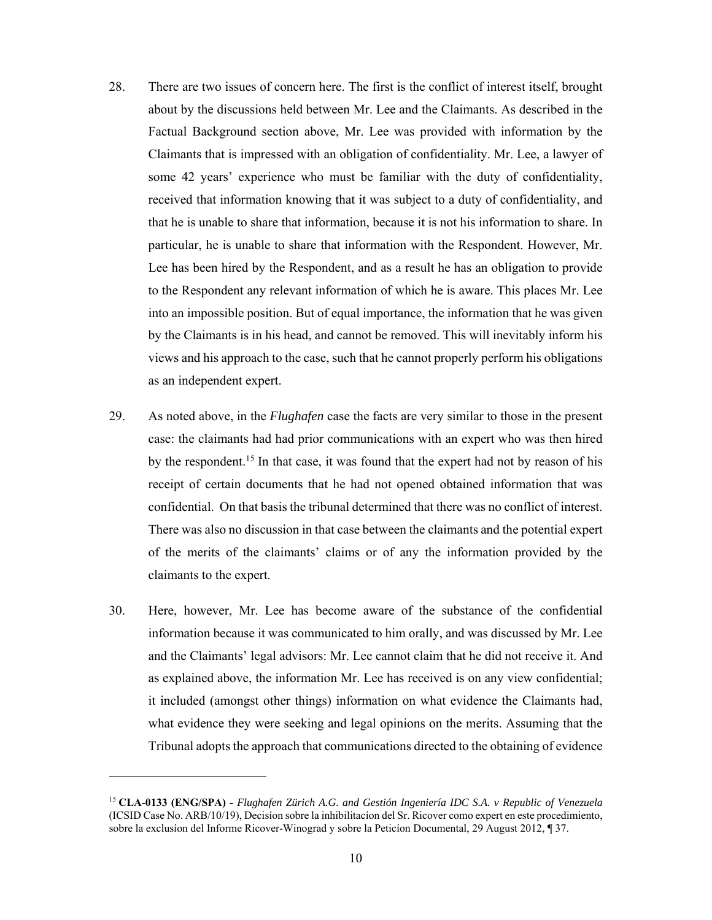- 28. There are two issues of concern here. The first is the conflict of interest itself, brought about by the discussions held between Mr. Lee and the Claimants. As described in the Factual Background section above, Mr. Lee was provided with information by the Claimants that is impressed with an obligation of confidentiality. Mr. Lee, a lawyer of some 42 years' experience who must be familiar with the duty of confidentiality, received that information knowing that it was subject to a duty of confidentiality, and that he is unable to share that information, because it is not his information to share. In particular, he is unable to share that information with the Respondent. However, Mr. Lee has been hired by the Respondent, and as a result he has an obligation to provide to the Respondent any relevant information of which he is aware. This places Mr. Lee into an impossible position. But of equal importance, the information that he was given by the Claimants is in his head, and cannot be removed. This will inevitably inform his views and his approach to the case, such that he cannot properly perform his obligations as an independent expert.
- 29. As noted above, in the *Flughafen* case the facts are very similar to those in the present case: the claimants had had prior communications with an expert who was then hired by the respondent.<sup>15</sup> In that case, it was found that the expert had not by reason of his receipt of certain documents that he had not opened obtained information that was confidential. On that basis the tribunal determined that there was no conflict of interest. There was also no discussion in that case between the claimants and the potential expert of the merits of the claimants' claims or of any the information provided by the claimants to the expert.
- 30. Here, however, Mr. Lee has become aware of the substance of the confidential information because it was communicated to him orally, and was discussed by Mr. Lee and the Claimants' legal advisors: Mr. Lee cannot claim that he did not receive it. And as explained above, the information Mr. Lee has received is on any view confidential; it included (amongst other things) information on what evidence the Claimants had, what evidence they were seeking and legal opinions on the merits. Assuming that the Tribunal adopts the approach that communications directed to the obtaining of evidence

<sup>15</sup> **CLA-0133 (ENG/SPA) -** *Flughafen Zürich A.G. and Gestión Ingeniería IDC S.A. v Republic of Venezuela* (ICSID Case No. ARB/10/19), Decisíon sobre la inhibilitacíon del Sr. Ricover como expert en este procedimiento, sobre la exclusíon del Informe Ricover-Winograd y sobre la Peticíon Documental, 29 August 2012, ¶ 37.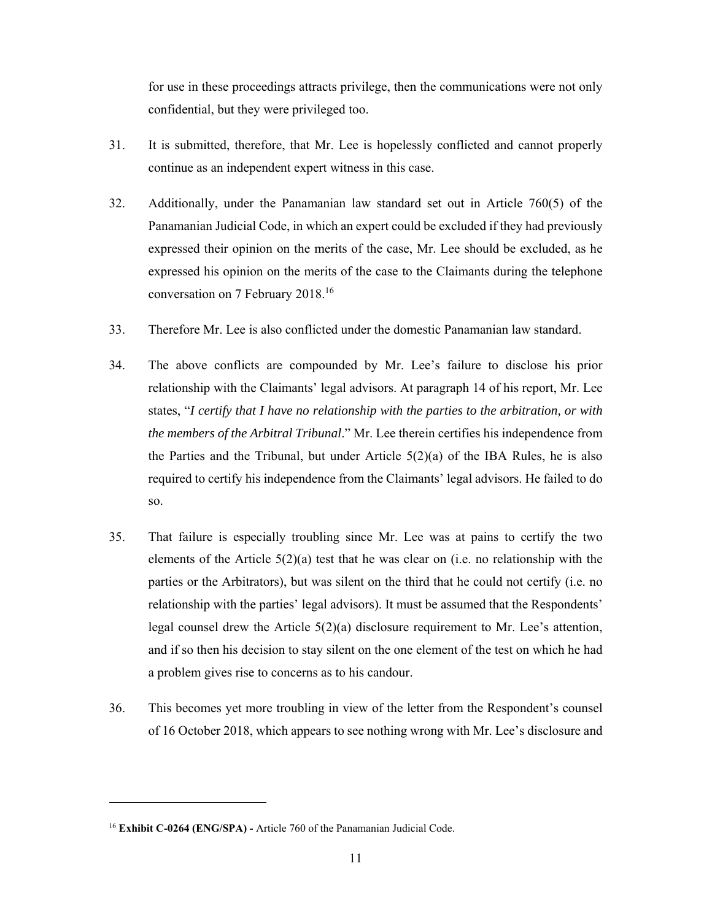for use in these proceedings attracts privilege, then the communications were not only confidential, but they were privileged too.

- 31. It is submitted, therefore, that Mr. Lee is hopelessly conflicted and cannot properly continue as an independent expert witness in this case.
- 32. Additionally, under the Panamanian law standard set out in Article 760(5) of the Panamanian Judicial Code, in which an expert could be excluded if they had previously expressed their opinion on the merits of the case, Mr. Lee should be excluded, as he expressed his opinion on the merits of the case to the Claimants during the telephone conversation on 7 February 2018.16
- 33. Therefore Mr. Lee is also conflicted under the domestic Panamanian law standard.
- 34. The above conflicts are compounded by Mr. Lee's failure to disclose his prior relationship with the Claimants' legal advisors. At paragraph 14 of his report, Mr. Lee states, "*I certify that I have no relationship with the parties to the arbitration, or with the members of the Arbitral Tribunal*." Mr. Lee therein certifies his independence from the Parties and the Tribunal, but under Article  $5(2)(a)$  of the IBA Rules, he is also required to certify his independence from the Claimants' legal advisors. He failed to do so.
- 35. That failure is especially troubling since Mr. Lee was at pains to certify the two elements of the Article  $5(2)(a)$  test that he was clear on (i.e. no relationship with the parties or the Arbitrators), but was silent on the third that he could not certify (i.e. no relationship with the parties' legal advisors). It must be assumed that the Respondents' legal counsel drew the Article  $5(2)(a)$  disclosure requirement to Mr. Lee's attention, and if so then his decision to stay silent on the one element of the test on which he had a problem gives rise to concerns as to his candour.
- 36. This becomes yet more troubling in view of the letter from the Respondent's counsel of 16 October 2018, which appears to see nothing wrong with Mr. Lee's disclosure and

<sup>16</sup> **Exhibit C-0264 (ENG/SPA) -** Article 760 of the Panamanian Judicial Code.